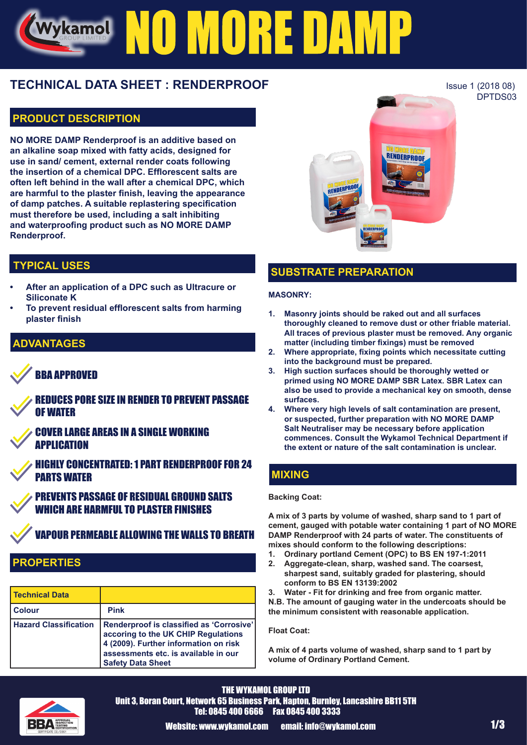# NO MORE DAM Wykamol

# **TECHNICAL DATA SHEET : RENDERPROOF** ISSUE 1 (2018 08)

# **PRODUCT DESCRIPTION**

**NO MORE DAMP Renderproof is an additive based on an alkaline soap mixed with fatty acids, designed for use in sand/ cement, external render coats following the insertion of a chemical DPC. Efflorescent salts are often left behind in the wall after a chemical DPC, which are harmful to the plaster finish, leaving the appearance of damp patches. A suitable replastering specification must therefore be used, including a salt inhibiting and waterproofing product such as NO MORE DAMP Renderproof.**



# **TYPICAL USES**

- **• After an application of a DPC such as Ultracure or Siliconate K**
- **• To prevent residual efflorescent salts from harming plaster finish**

# **DVANTAGES**

# BBA APPROVED

REDUCES PORE SIZE IN RENDER TO PREVENT PASSAGE OF WATER

COVER LARGE AREAS IN A SINGLE WORKING **APPLICATION** 

HIGHLY CONCENTRATED: 1 PART RENDERPROOF FOR 24 PARTS WATER

PREVENTS PASSAGE OF RESIDUAL GROUND SALTS WHICH ARE HARMFIII TO PLASTER FINISHES

# VAPOUR PERMEABLE ALLOWING THE WALLS TO BREATH

# **PROPERTIES**

| <b>Technical Data</b>        |                                                                                                                                                                                              |
|------------------------------|----------------------------------------------------------------------------------------------------------------------------------------------------------------------------------------------|
| <b>Colour</b>                | <b>Pink</b>                                                                                                                                                                                  |
| <b>Hazard Classification</b> | Renderproof is classified as 'Corrosive'<br>accoring to the UK CHIP Regulations<br>4 (2009). Further information on risk<br>assessments etc. is available in our<br><b>Safety Data Sheet</b> |

# **SUBSTRATE PREPARATION**

#### **MASONRY:**

- **1. Masonry joints should be raked out and all surfaces thoroughly cleaned to remove dust or other friable material. All traces of previous plaster must be removed. Any organic matter (including timber fixings) must be removed**
- **2. Where appropriate, fixing points which necessitate cutting into the background must be prepared.**
- **3. High suction surfaces should be thoroughly wetted or primed using NO MORE DAMP SBR Latex. SBR Latex can also be used to provide a mechanical key on smooth, dense surfaces.**
- **4. Where very high levels of salt contamination are present, or suspected, further preparation with NO MORE DAMP Salt Neutraliser may be necessary before application commences. Consult the Wykamol Technical Department if the extent or nature of the salt contamination is unclear.**

# **MIXING**

#### **Backing Coat:**

**A mix of 3 parts by volume of washed, sharp sand to 1 part of cement, gauged with potable water containing 1 part of NO MORE DAMP Renderproof with 24 parts of water. The constituents of mixes should conform to the following descriptions:**

- **1. Ordinary portland Cement (OPC) to BS EN 197-1:2011**
- **2. Aggregate-clean, sharp, washed sand. The coarsest, sharpest sand, suitably graded for plastering, should conform to BS EN 13139:2002**

**3. Water - Fit for drinking and free from organic matter. N.B. The amount of gauging water in the undercoats should be the minimum consistent with reasonable application.** 

#### **Float Coat:**

**A mix of 4 parts volume of washed, sharp sand to 1 part by volume of Ordinary Portland Cement.**



THE WYKAMOL GROUP LTD Unit 3, Boran Court, Network 65 Business Park, Hapton, Burnley, Lancashire BB11 5TH Tel: 0845 400 6666 Fax 0845 400 3333

Website: www.wykamol.com email: info@wykamol.com 1/3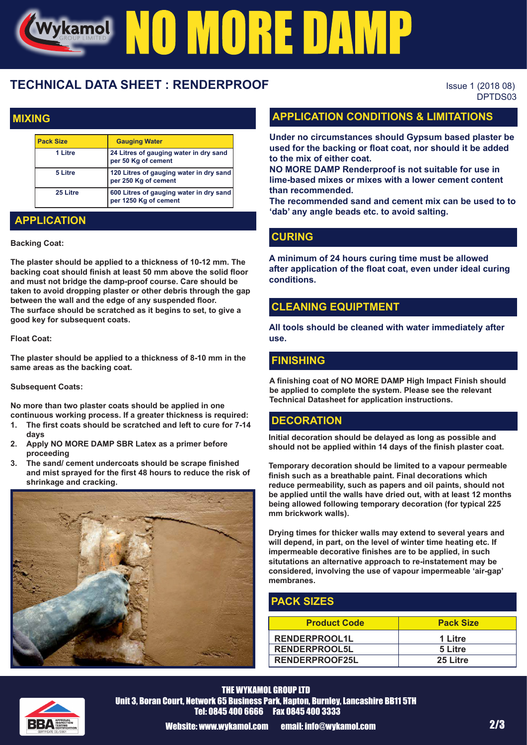# Wykame! NO MORE DAMP

# **TECHNICAL DATA SHEET : RENDERPROOF** ISSUE 1 (2018 08)

DPTDS03

## **MIXING**

| <b>Pack Size</b> | <b>Gauging Water</b>                                             |  |
|------------------|------------------------------------------------------------------|--|
| 1 Litre          | 24 Litres of gauging water in dry sand<br>per 50 Kg of cement    |  |
| 5 Litre          | 120 Litres of gauging water in dry sand<br>per 250 Kg of cement  |  |
| 25 Litre         | 600 Litres of gauging water in dry sand<br>per 1250 Kg of cement |  |

# **APPLICATION**

#### **Backing Coat:**

**The plaster should be applied to a thickness of 10-12 mm. The backing coat should finish at least 50 mm above the solid floor and must not bridge the damp-proof course. Care should be taken to avoid dropping plaster or other debris through the gap between the wall and the edge of any suspended floor. The surface should be scratched as it begins to set, to give a good key for subsequent coats.**

#### **Float Coat:**

**The plaster should be applied to a thickness of 8-10 mm in the same areas as the backing coat.**

#### **Subsequent Coats:**

**No more than two plaster coats should be applied in one continuous working process. If a greater thickness is required:**

- **1. The first coats should be scratched and left to cure for 7-14 days**
- **2. Apply NO MORE DAMP SBR Latex as a primer before proceeding**
- **3. The sand/ cement undercoats should be scrape finished and mist sprayed for the first 48 hours to reduce the risk of shrinkage and cracking.**



## **APPLICATION CONDITIONS & LIMITATIONS**

**Under no circumstances should Gypsum based plaster be used for the backing or float coat, nor should it be added to the mix of either coat.**

**NO MORE DAMP Renderproof is not suitable for use in lime-based mixes or mixes with a lower cement content than recommended.**

**The recommended sand and cement mix can be used to to 'dab' any angle beads etc. to avoid salting.**

#### **CURING**

**A minimum of 24 hours curing time must be allowed after application of the float coat, even under ideal curing conditions.**

#### **CLEANING EQUIPTMENT**

**All tools should be cleaned with water immediately after use.**

#### **FINISHING**

**A finishing coat of NO MORE DAMP High Impact Finish should be applied to complete the system. Please see the relevant Technical Datasheet for application instructions.**

#### **DECORATION**

**Initial decoration should be delayed as long as possible and should not be applied within 14 days of the finish plaster coat.**

**Temporary decoration should be limited to a vapour permeable finish such as a breathable paint. Final decorations which reduce permeability, such as papers and oil paints, should not be applied until the walls have dried out, with at least 12 months being allowed following temporary decoration (for typical 225 mm brickwork walls).**

**Drying times for thicker walls may extend to several years and will depend, in part, on the level of winter time heating etc. If impermeable decorative finishes are to be applied, in such situtations an alternative approach to re-instatement may be considered, involving the use of vapour impermeable 'air-gap' membranes.**

#### **PACK SIZES**

| <b>Product Code</b>   | <b>Pack Size</b> |
|-----------------------|------------------|
| <b>RENDERPROOL1L</b>  | 1 Litre          |
| <b>RENDERPROOL5L</b>  | 5 Litre          |
| <b>RENDERPROOF25L</b> | 25 Litre         |



THE WYKAMOL GROUP LTD Unit 3, Boran Court, Network 65 Business Park, Hapton, Burnley, Lancashire BB11 5TH Tel: 0845 400 6666 Fax 0845 400 3333